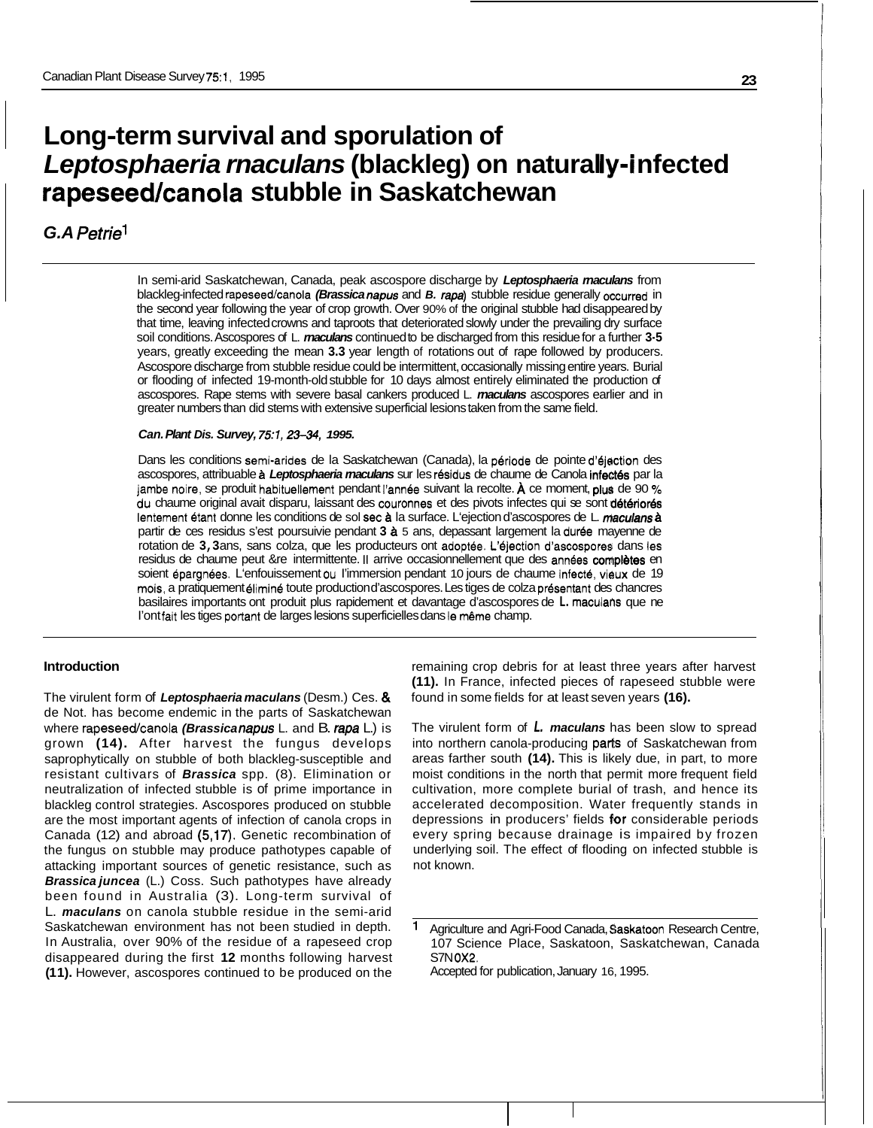# **Long-term survival and sporulation of**  Leptosphaeria rnaculans (blackleg) on naturally-infected **rapeseed/canola stubble in Saskatchewan**

# *G.A Petriel*

In semi-arid Saskatchewan, Canada, peak ascospore discharge by *Leptosphaeria rnaculans* from blackleg-infected rapeseed/canola *(Brassica napus and B. rapa)* stubble residue generally occurred in the second year following the year of crop growth. Over 90% of the original stubble had disappeared by that time, leaving infected crowns and taproots that deteriorated slowly under the prevailing dry surface soil conditions. Ascospores of L. *rnaculans* continued to be discharged from this residue for a further **3-5**  years, greatly exceeding the mean **3.3** year length of rotations out of rape followed by producers. Ascospore discharge from stubble residue could be intermittent, occasionally missing entire years. Burial or flooding of infected 19-month-old stubble for 10 days almost entirely eliminated the production of ascospores. Rape stems with severe basal cankers produced L. *rnaculans* ascospores earlier and in greater numbers than did stems with extensive superficial lesions taken from the same field.

#### *Can. Plant Dis. Survey, 75:1,23-34, 1995.*

Dans les conditions semi-arides de la Saskatchewan (Canada), la période de pointe d'éjection des ascospores, attribuable à Leptosphaeria maculans sur les résidus de chaume de Canola infectés par la jambe noire, se produit habituellement pendant I'annee suivant la recolte. **A** ce moment, plus de 90 **7' du** chaume original avait disparu, laissant des couronnes et des pivots infectes qui se sont **ld6t6rior6s**  lentement étant donne les conditions de sol sec à la surface. L'ejection d'ascospores de L. maculans à partir de ces residus s'est poursuivie pendant 3 à 5 ans, depassant largement la durée mayenne de rotation de 3,3 ans, sans colza, que les producteurs ont adoptée. L'éjection d'ascospores dans les residus de chaume peut &re intermittente. Il arrive occasionnellement que des années complètes en soient épargnées. L'enfouissement ou l'immersion pendant 10 jours de chaume infecté, vieux de 19 rnois, a pratiquement elimine toute production d'ascospores. Les tiges de colza presentant des chancres basilaires importants ont produit plus rapidement et davantage d'ascospores de **L.** maculahs que ne l'ont fait les tiges portant de larges lesions superficielles dans le même champ.

### **Introduction**

The virulent form of *Leptosphaeria maculans* (Desm.) Ces. & de Not. has become endemic in the parts of Saskatchewan where rapeseed/canola *(Brassicanapus L. and B. rapa L.)* is grown **(14).** After harvest the fungus develops saprophytically on stubble of both blackleg-susceptible and resistant cultivars of *Brassica* spp. (8). Elimination or neutralization of infected stubble is of prime importance in blackleg control strategies. Ascospores produced on stubble are the most important agents of infection of canola crops in Canada (12) and abroad **(5,17).** Genetic recombination of the fungus on stubble may produce pathotypes capable of attacking important sources of genetic resistance, such as *Brassica juncea* (L.) Coss. Such pathotypes have already been found in Australia (3). Long-term survival of L. *maculans* on canola stubble residue in the semi-arid Saskatchewan environment has not been studied in depth. In Australia, over 90% of the residue of a rapeseed crop disappeared during the first **12** months following harvest **(1 1).** However, ascospores continued to be produced on the

remaining crop debris for at least three years after harvest **(11).** In France, infected pieces of rapeseed stubble were found in some fields for at least seven years **(16).** 

The virulent form of *L. maculans* has been slow to spread into northern canola-producing parts of Saskatchewan from areas farther south **(14).** This is likely due, in part, to more moist conditions in the north that permit more frequent field cultivation, more complete burial of trash, and hence its accelerated decomposition. Water frequently stands in depressions in producers' fields for considerable periods every spring because drainage is impaired by frozen underlying soil. The effect of flooding on infected stubble is not known.

Accepted for publication, January 16, 1995.

Agriculture and Agri-Food Canada, 9askatoon Research Centre, 107 Science Place, Saskatoon, Saskatchewan, Canada S7N **0x2.**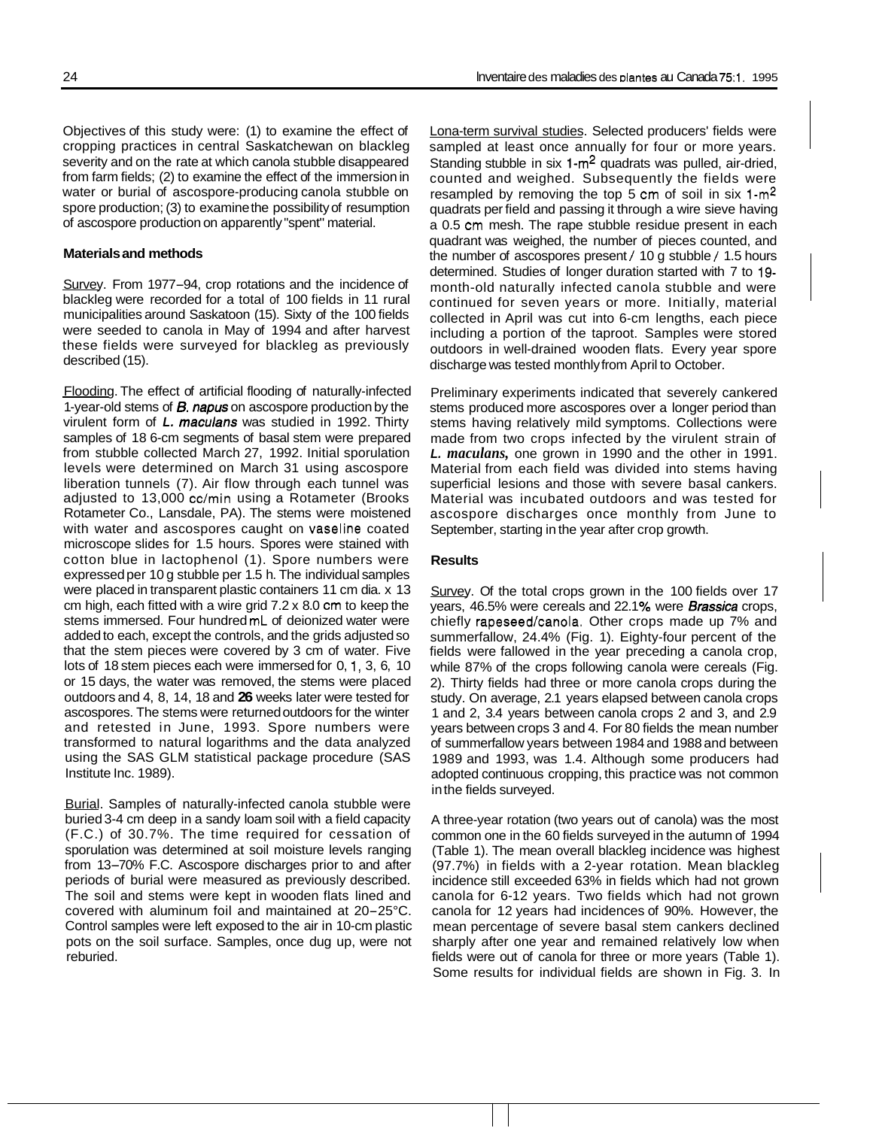Objectives of this study were: (1) to examine the effect of cropping practices in central Saskatchewan on blackleg severity and on the rate at which canola stubble disappeared from farm fields; (2) to examine the effect of the immersion in water or burial of ascospore-producing canola stubble on spore production; (3) to examine the possibility of resumption of ascospore production on apparently "spent" material.

#### **Materials and methods**

Survey. From 1977-94, crop rotations and the incidence of blackleg were recorded for a total of 100 fields in 11 rural municipalities around Saskatoon (15). Sixty of the 100 fields were seeded to canola in May of 1994 and after harvest these fields were surveyed for blackleg as previously described (15).

Flooding. The effect of artificial flooding of naturally-infected 1 -year-old stems of *B. napus* on ascospore production by the virulent form of *L. maculans* was studied in 1992. Thirty samples of 18 6-cm segments of basal stem were prepared from stubble collected March 27, 1992. Initial sporulation levels were determined on March 31 using ascospore liberation tunnels (7). Air flow through each tunnel was adjusted to 13,000 cc/min using a Rotameter (Brooks Rotameter Co., Lansdale, PA). The stems were moistened with water and ascospores caught on vaseline coated microscope slides for 1.5 hours. Spores were stained with cotton blue in lactophenol (1). Spore numbers were expressed per 10 g stubble per 1.5 h. The individual samples were placed in transparent plastic containers 11 cm dia. x 13 cm high, each fitted with a wire grid 7.2 x 8.0 cm to keep the stems immersed. Four hundred mL of deionized water were added to each, except the controls, and the grids adjusted so that the stem pieces were covered by 3 cm of water. Five lots of 18 stem pieces each were immersed for 0, 1, 3, 6, 10 or 15 days, the water was removed, the stems were placed outdoors and 4, 8, 14, 18 and **26** weeks later were tested for ascospores. The stems were returned outdoors for the winter and retested in June, 1993. Spore numbers were transformed to natural logarithms and the data analyzed using the SAS GLM statistical package procedure (SAS Institute Inc. 1989).

Burial. Samples of naturally-infected canola stubble were buried 3-4 cm deep in a sandy loam soil with a field capacity (F.C.) of 30.7%. The time required for cessation of sporulation was determined at soil moisture levels ranging from 13-70% F.C. Ascospore discharges prior to and after periods of burial were measured as previously described. The soil and stems were kept in wooden flats lined and covered with aluminum foil and maintained at 20-25°C. Control samples were left exposed to the air in 10-cm plastic pots on the soil surface. Samples, once dug up, were not reburied.

Lona-term survival studies. Selected producers' fields were sampled at least once annually for four or more years. Standing stubble in six **1-m2** quadrats was pulled, air-dried, counted and weighed. Subsequently the fields were resampled by removing the top 5 cm of soil in six  $1-m^2$ quadrats per field and passing it through a wire sieve having a 0.5 cm mesh. The rape stubble residue present in each quadrant was weighed, the number of pieces counted, and the number of ascospores present *I* 10 g stubble *I* 1.5 hours determined. Studies of longer duration started with 7 to 19 month-old naturally infected canola stubble and were continued for seven years or more. Initially, material collected in April was cut into 6-cm lengths, each piece including a portion of the taproot. Samples were stored outdoors in well-drained wooden flats. Every year spore discharge was tested monthly from April to October.

Preliminary experiments indicated that severely cankered stems produced more ascospores over a longer period than stems having relatively mild symptoms. Collections were made from two crops infected by the virulent strain of *L. maculans,* one grown in 1990 and the other in 1991. Material from each field was divided into stems having superficial lesions and those with severe basal cankers. Material was incubated outdoors and was tested for ascospore discharges once monthly from June to September, starting in the year after crop growth.

#### **Results**

Survey. Of the total crops grown in the 100 fields over 17 years, 46.5% were cereals and 22.1 **Yo** were *Brassica* crops, chiefly rapeseed/canola. Other crops made up 7% and summerfallow, 24.4% (Fig. 1). Eighty-four percent of the fields were fallowed in the year preceding a canola crop, while 87% of the crops following canola were cereals (Fig. 2). Thirty fields had three or more canola crops during the study. On average, 2.1 years elapsed between canola crops 1 and 2, 3.4 years between canola crops 2 and 3, and 2.9 years between crops 3 and 4. For 80 fields the mean number of summerfallow years between 1984 and 1988 and between 1989 and 1993, was 1.4. Although some producers had adopted continuous cropping, this practice was not common in the fields surveyed.

A three-year rotation (two years out of canola) was the most common one in the 60 fields surveyed in the autumn of 1994 (Table 1). The mean overall blackleg incidence was highest (97.7%) in fields with a 2-year rotation. Mean blackleg incidence still exceeded 63% in fields which had not grown canola for 6-12 years. Two fields which had not grown canola for 12 years had incidences of 90%. However, the mean percentage of severe basal stem cankers declined sharply after one year and remained relatively low when fields were out of canola for three or more years (Table 1). Some results for individual fields are shown in Fig. 3. In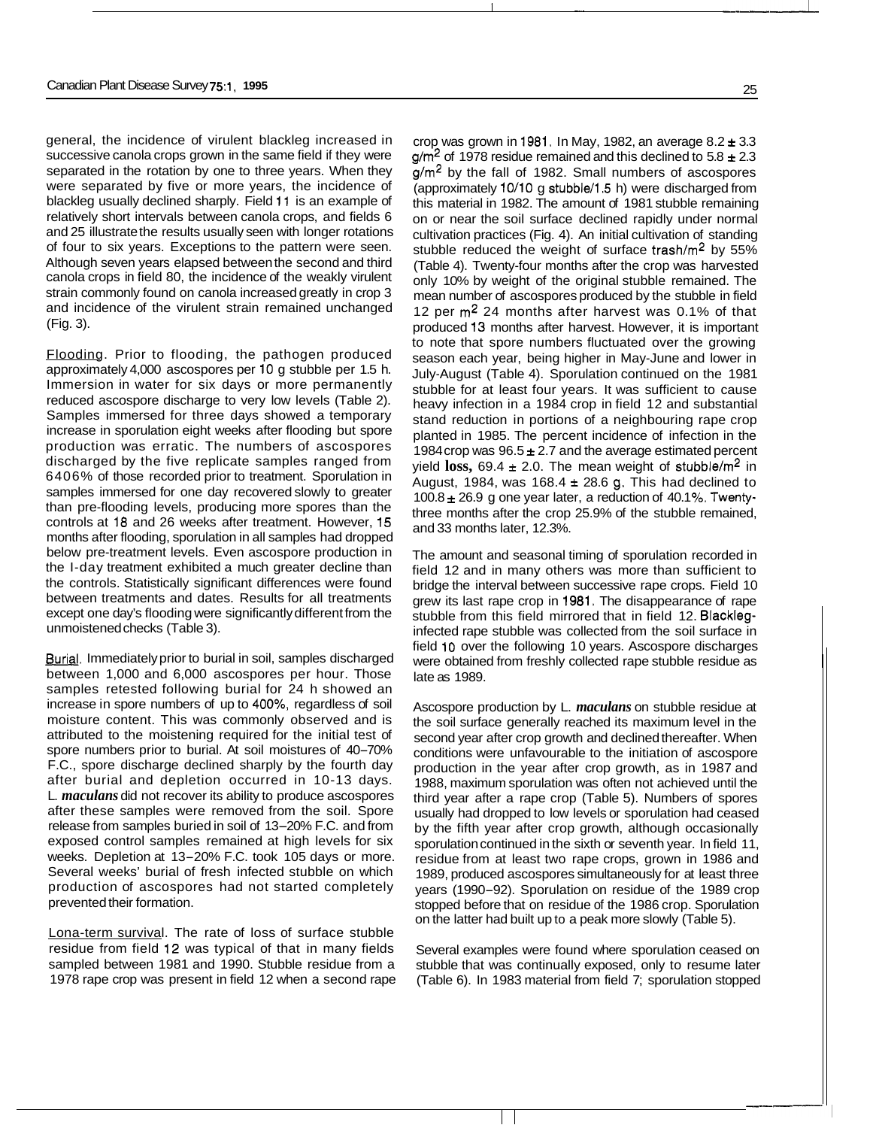general, the incidence of virulent blackleg increased in successive canola crops grown in the same field if they were separated in the rotation by one to three years. When they were separated by five or more years, the incidence of blackleg usually declined sharply. Field 11 is an example of relatively short intervals between canola crops, and fields 6 and 25 illustrate the results usually seen with longer rotations of four to six years. Exceptions to the pattern were seen. Although seven years elapsed between the second and third canola crops in field 80, the incidence of the weakly virulent strain commonly found on canola increased greatly in crop 3 and incidence of the virulent strain remained unchanged (Fig. 3).

Flooding. Prior to flooding, the pathogen produced approximately 4,000 ascospores per 10 g stubble per 1.5 h. Immersion in water for six days or more permanently reduced ascospore discharge to very low levels (Table 2). Samples immersed for three days showed a temporary increase in sporulation eight weeks after flooding but spore production was erratic. The numbers of ascospores discharged by the five replicate samples ranged from 6406% of those recorded prior to treatment. Sporulation in samples immersed for one day recovered slowly to greater than pre-flooding levels, producing more spores than the controls at 18 and 26 weeks after treatment. However, 15 months after flooding, sporulation in all samples had dropped below pre-treatment levels. Even ascospore production in the I-day treatment exhibited a much greater decline than the controls. Statistically significant differences were found between treatments and dates. Results for all treatments except one day's flooding were significantly different from the unmoistened checks (Table 3).

**Burial.** Immediately prior to burial in soil, samples discharged between 1,000 and 6,000 ascospores per hour. Those samples retested following burial for 24 h showed an increase in spore numbers of up to **400%,** regardless of soil moisture content. This was commonly observed and is attributed to the moistening required for the initial test of spore numbers prior to burial. At soil moistures of 40-70% F.C., spore discharge declined sharply by the fourth day after burial and depletion occurred in 10-13 days. L. *maculans* did not recover its ability to produce ascospores after these samples were removed from the soil. Spore release from samples buried in soil of 13-20% F.C. and from exposed control samples remained at high levels for six weeks. Depletion at 13-20% F.C. took 105 days or more. Several weeks' burial of fresh infected stubble on which production of ascospores had not started completely prevented their formation.

Lona-term survival. The rate of loss of surface stubble residue from field 12 was typical of that in many fields sampled between 1981 and 1990. Stubble residue from a 1978 rape crop was present in field 12 when a second rape 1 -. -\_\_A

crop was grown in 1981. In May, 1982, an average  $8.2 \pm 3.3$  $g/m^2$  of 1978 residue remained and this declined to  $5.8 \pm 2.3$ g/m2 by the fall of 1982. Small numbers of ascospores (approximately 10/10 g stubble/l.5 h) were discharged from this material in 1982. The amount of 1981 stubble remaining on or near the soil surface declined rapidly under normal cultivation practices (Fig. 4). An initial cultivation of standing stubble reduced the weight of surface trash/m2 by 55% (Table 4). Twenty-four months after the crop was harvested only 10% by weight of the original stubble remained. The mean number of ascospores produced by the stubble in field 12 per  $m^2$  24 months after harvest was 0.1% of that produced 13 months after harvest. However, it is important to note that spore numbers fluctuated over the growing season each year, being higher in May-June and lower in July-August (Table 4). Sporulation continued on the 1981 stubble for at least four years. It was sufficient to cause heavy infection in a 1984 crop in field 12 and substantial stand reduction in portions of a neighbouring rape crop planted in 1985. The percent incidence of infection in the 1984 crop was 96.5 **f** 2.7 and the average estimated percent yield  $\cos 69.4 \pm 2.0$ . The mean weight of stubble/m<sup>2</sup> in August, 1984, was 168.4 **f** 28.6 g. This had declined to 100.8 ± 26.9 g one year later, a reduction of 40.1%. Twentythree months after the crop 25.9% of the stubble remained, and 33 months later, 12.3%.

The amount and seasonal timing of sporulation recorded in field 12 and in many others was more than sufficient to bridge the interval between successive rape crops. Field 10 grew its last rape crop in 1981. The disappearance of rape stubble from this field mirrored that in field 12. Blackleginfected rape stubble was collected from the soil surface in field 10 over the following 10 years. Ascospore discharges were obtained from freshly collected rape stubble residue as late as 1989.

Ascospore production by L. *maculans* on stubble residue at the soil surface generally reached its maximum level in the second year after crop growth and declined thereafter. When conditions were unfavourable to the initiation of ascospore production in the year after crop growth, as in 1987 and 1988, maximum sporulation was often not achieved until the third year after a rape crop (Table 5). Numbers of spores usually had dropped to low levels or sporulation had ceased by the fifth year after crop growth, although occasionally sporulation continued in the sixth or seventh year. In field 11, residue from at least two rape crops, grown in 1986 and 1989, produced ascospores simultaneously for at least three years (1990-92). Sporulation on residue of the 1989 crop stopped before that on residue of the 1986 crop. Sporulation on the latter had built up to a peak more slowly (Table 5).

Several examples were found where sporulation ceased on stubble that was continually exposed, only to resume later (Table 6). In 1983 material from field 7; sporulation stopped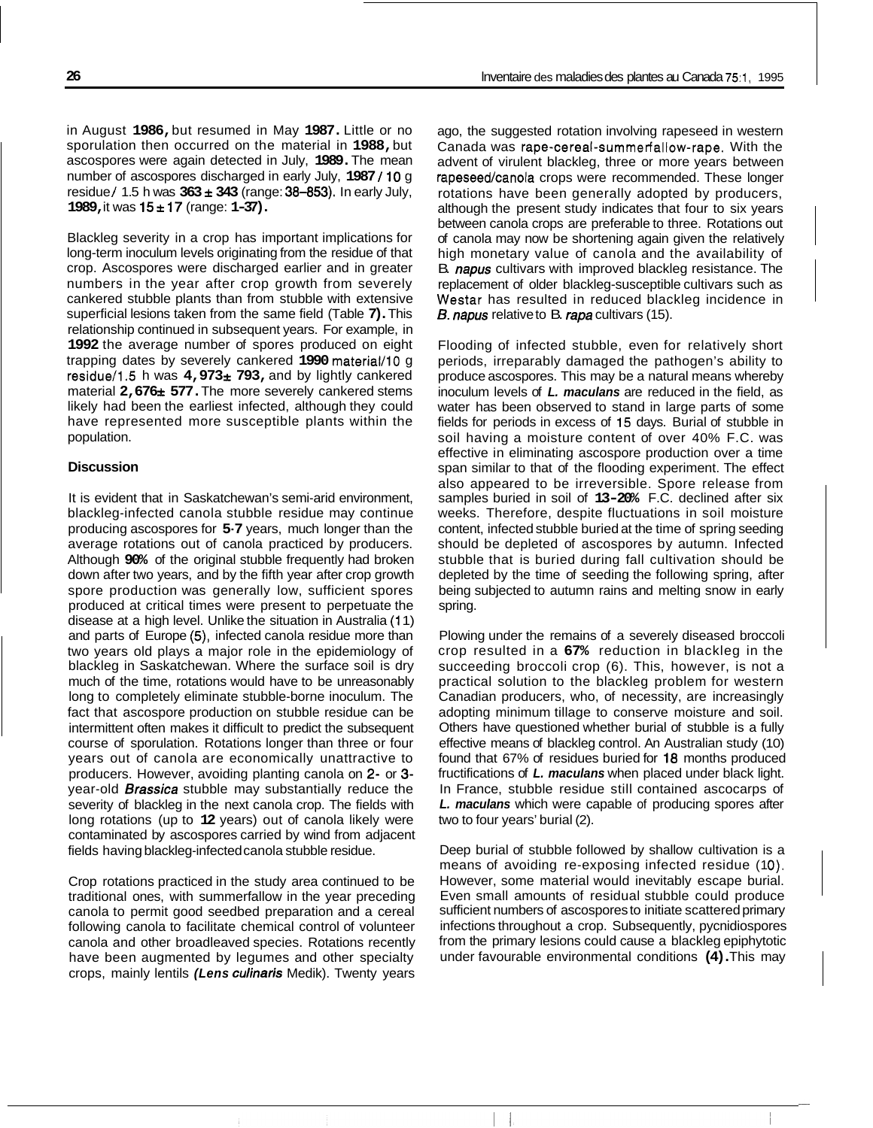in August **1986,** but resumed in May **1987.** Little or no sporulation then occurred on the material in **1988,** but ascospores were again detected in July, **1989.** The mean number of ascospores discharged in early July, **1987** / **10** g residue / 1.5 h was **363 f 343** (range: **38-853).** In early July, **1989,** it was **15 f 17** (range: **1-37).** 

Blackleg severity in a crop has important implications for long-term inoculum levels originating from the residue of that crop. Ascospores were discharged earlier and in greater numbers in the year after crop growth from severely cankered stubble plants than from stubble with extensive superficial lesions taken from the same field (Table **7).** This relationship continued in subsequent years. For example, in **1992** the average number of spores produced on eight trapping dates by severely cankered **1990** material/lO g residue/1.5 h was 4,973<sup> $\pm$ </sup> 793, and by lightly cankered material 2,676<sup> $\pm$ </sup> 577. The more severely cankered stems likely had been the earliest infected, although they could have represented more susceptible plants within the population.

## **Discussion**

It is evident that in Saskatchewan's semi-arid environment, blackleg-infected canola stubble residue may continue producing ascospores for **5-7** years, much longer than the average rotations out of canola practiced by producers. Although **90%** of the original stubble frequently had broken down after two years, and by the fifth year after crop growth spore production was generally low, sufficient spores produced at critical times were present to perpetuate the disease at a high level. Unlike the situation in Australia **(1** 1) and parts of Europe **(5),** infected canola residue more than two years old plays a major role in the epidemiology of blackleg in Saskatchewan. Where the surface soil is dry much of the time, rotations would have to be unreasonably long to completely eliminate stubble-borne inoculum. The fact that ascospore production on stubble residue can be intermittent often makes it difficult to predict the subsequent course of sporulation. Rotations longer than three or four years out of canola are economically unattractive to producers. However, avoiding planting canola on **2-** or **3**  year-old *Brassica* stubble may substantially reduce the severity of blackleg in the next canola crop. The fields with long rotations (up to **12** years) out of canola likely were contaminated by ascospores carried by wind from adjacent fields having blackleg-infected canola stubble residue.

Crop rotations practiced in the study area continued to be traditional ones, with summerfallow in the year preceding canola to permit good seedbed preparation and a cereal following canola to facilitate chemical control of volunteer canola and other broadleaved species. Rotations recently have been augmented by legumes and other specialty crops, mainly lentils *(Lens culinaris* Medik). Twenty years

ago, the suggested rotation involving rapeseed in western Canada was **rape-cereal-summerfallow-rape.** With the advent of virulent blackleg, three or more years between rapeseed/canola crops were recommended. These longer rotations have been generally adopted by producers, although the present study indicates that four to six years between canola crops are preferable to three. Rotations out of canola may now be shortening again given the relatively high monetary value of canola and the availability of B. *napus* cultivars with improved blackleg resistance. The replacement of older blackleg-susceptible cultivars such as Westar has resulted in reduced blackleg incidence in *B. napus* relative to B. *rapa* cultivars (15).

Flooding of infected stubble, even for relatively short periods, irreparably damaged the pathogen's ability to produce ascospores. This may be a natural means whereby inoculum levels of *L. maculans* are reduced in the field, as water has been observed to stand in large parts of some fields for periods in excess of **15** days. Burial of stubble in soil having a moisture content of over 40% F.C. was effective in eliminating ascospore production over a time span similar to that of the flooding experiment. The effect also appeared to be irreversible. Spore release from samples buried in soil of **13-20%** F.C. declined after six weeks. Therefore, despite fluctuations in soil moisture content, infected stubble buried at the time of spring seeding should be depleted of ascospores by autumn. Infected stubble that is buried during fall cultivation should be depleted by the time of seeding the following spring, after being subjected to autumn rains and melting snow in early spring.

Plowing under the remains of a severely diseased broccoli crop resulted in a **67%** reduction in blackleg in the succeeding broccoli crop (6). This, however, is not a practical solution to the blackleg problem for western Canadian producers, who, of necessity, are increasingly adopting minimum tillage to conserve moisture and soil. Others have questioned whether burial of stubble is a fully effective means of blackleg control. An Australian study (10) found that 67% of residues buried for **18** months produced fructifications of *L. maculans* when placed under black light. In France, stubble residue still contained ascocarps of *L. maculans* which were capable of producing spores after two to four years' burial (2).

Deep burial of stubble followed by shallow cultivation is a means of avoiding re-exposing infected residue (10). However, some material would inevitably escape burial. Even small amounts of residual stubble could produce sufficient numbers of ascospores to initiate scattered primary infections throughout a crop. Subsequently, pycnidiospores from the primary lesions could cause a blackleg epiphytotic under favourable environmental conditions **(4).** This may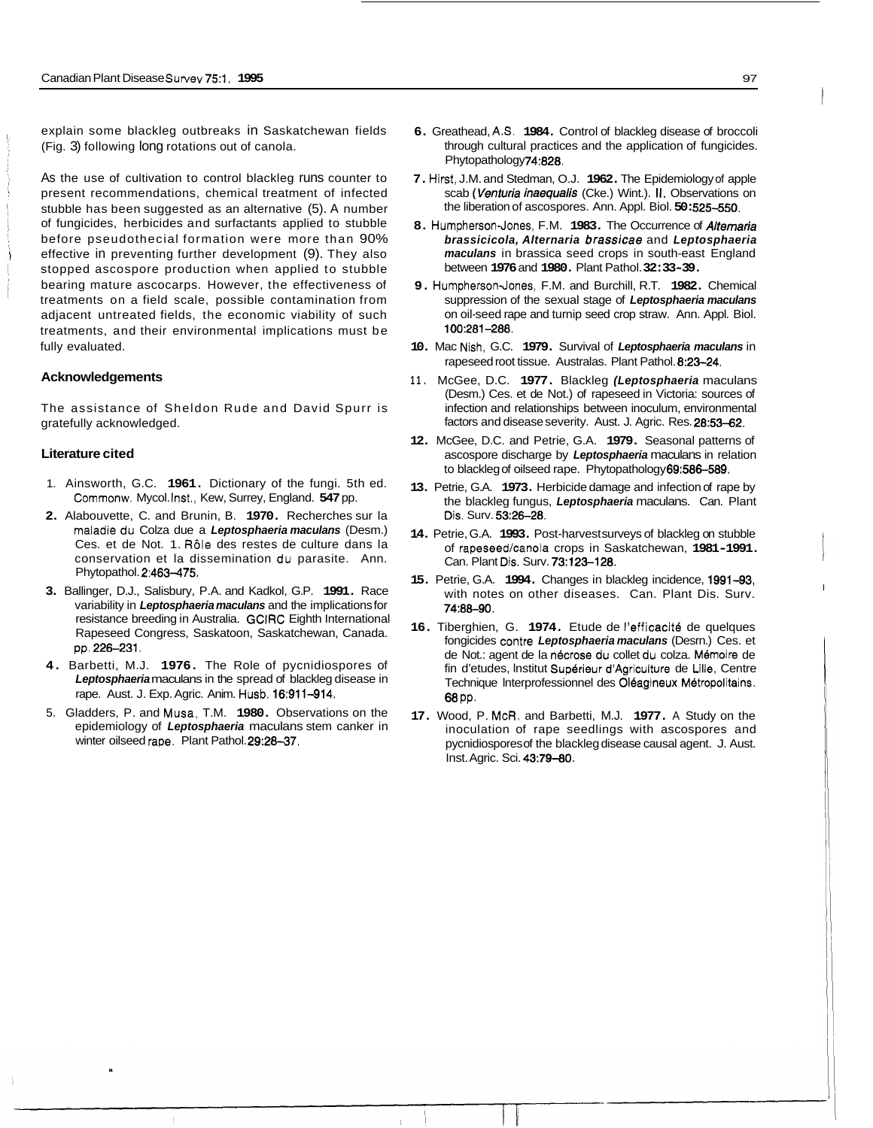explain some blackleg outbreaks in Saskatchewan fields (Fig. 3) following long rotations out of canola.

As the use of cultivation to control blackleg runs counter to present recommendations, chemical treatment of infected stubble has been suggested as an alternative (5). A number of fungicides, herbicides and surfactants applied to stubble before pseudothecial formation were more than 90% effective in preventing further development (9). They also stopped ascospore production when applied to stubble bearing mature ascocarps. However, the effectiveness of treatments on a field scale, possible contamination from adjacent untreated fields, the economic viability of such treatments, and their environmental implications must be fully evaluated.

#### **Acknowledgements**

The assistance of Sheldon Rude and David Spurr is gratefully acknowledged.

#### **Literature cited**

- 1. Ainsworth, G.C. **1961.** Dictionary of the fungi. 5th ed. Commonw. Mycol. Inst., Kew, Surrey, England. **547** pp.
- **2.** Alabouvette, C. and Brunin, B. **1970.** Recherches sur la maladie du Colza due a *Leptosphaeria maculans* (Desm.) Ces. et de Not. 1. Rôle des restes de culture dans la conservation et la dissemination du parasite. Ann. Phytopathol. **2:463-475.**
- **3.** Ballinger, D.J., Salisbury, P.A. and Kadkol, G.P. **1991.** Race variability in *Leptosphaeria maculans* and the implications for resistance breeding in Australia. GClRC Eighth International Rapeseed Congress, Saskatoon, Saskatchewan, Canada. pp. **226-231.**
- **4.** Barbetti, M.J. **1976.** The Role of pycnidiospores of *Leptosphaeria* maculans in the spread of blackleg disease in rape. Aust. J. Exp. Agric. Anim. Husb. **16:911-914.**
- 5. Gladders, P. and Musa, T.M. **1980.** Observations on the epidemiology of *Leptosphaeria* maculans stem canker in winter oilseed rape. Plant Pathol. **29:28-37.**
- **6.** Greathead, AS. **1984.** Control of blackleg disease of broccoli through cultural practices and the application of fungicides. Phytopathology **74:828.**
- **7.** Hirst, J.M. and Stedman, O.J. **1962.** The Epidemiology of apple scab *(Venturia inaequalis* (Cke.) Wint.). II. Observations on the liberation of ascospores. Ann. Appl. Biol. **50:525-550.**
- **8.** HumphersonJones, F.M. **1983.** The Occurrence of *Altemaria brassicicola, Alternaria brassicae* and *Leptosphaeria maculans* in brassica seed crops in south-east England between **1976** and **1980.** Plant Pathol. **32: 33-39.**
- **9.** HumphersonJones, F.M. and Burchill, R.T. **1982.** Chemical suppression of the sexual stage of *Leptosphaeria maculans*  on oil-seed rape and turnip seed crop straw. Ann. Appl. Biol. **100:281-288.**
- **10.** Mac Nish, G.C. **1979.** Survival of *Leptosphaeria maculans* in rapeseed root tissue. Australas. Plant Pathol. **8:23-24.**
- **11.** McGee, D.C. **1977.** Blackleg *(Leptosphaeria* maculans (Desm.) Ces. et de Not.) of rapeseed in Victoria: sources of infection and relationships between inoculum, environmental factors and disease severity. Aust. J. Agric. Res. **28:53-62.**
- **12.** McGee, D.C. and Petrie, G.A. **1979.** Seasonal patterns of ascospore discharge by *Leptosphaeria* maculans in relation to blackleg of oilseed rape. Phytopathology **69:586-589.**
- **13.** Petrie, G.A. **1973.** Herbicide damage and infection of rape by the blackleg fungus, *Leptosphaeria* maculans. Can. Plant Dis. Surv. **53:26-28.**
- **14.** Petrie, G.A. **1993.** Post-harvest surveys of blackleg on stubble of rapeseed/canola crops in Saskatchewan, **1981-1991.**  Can. Plant Dis. Surv. **73:123-128.**
- **15.** Petrie, G.A. **1994.** Changes in blackleg incidence, **1991-93,**  with notes on other diseases. Can. Plant Dis. Surv. **74:aa-90.**
- **16.** Tiberghien, G. **1974.** Etude de I'efficacite de quelques fongicides contre *Leptosphaeria maculans* (Desrn.) Ces. et de Not.: agent de la nécrose du collet du colza. Mémoire de fin d'etudes, Institut Supérieur d'Agriculture de Lille, Centre Technique Interprofessionnel des Oléagineux Métropolitains. **68** PP.
- **17.** Wood, P. McR. and Barbetti, M.J. **1977.** A Study on the inoculation of rape seedlings with ascospores and pycnidiospores of the blackleg disease causal agent. J. Aust. Inst. Agric. Sci. **43:79-80.**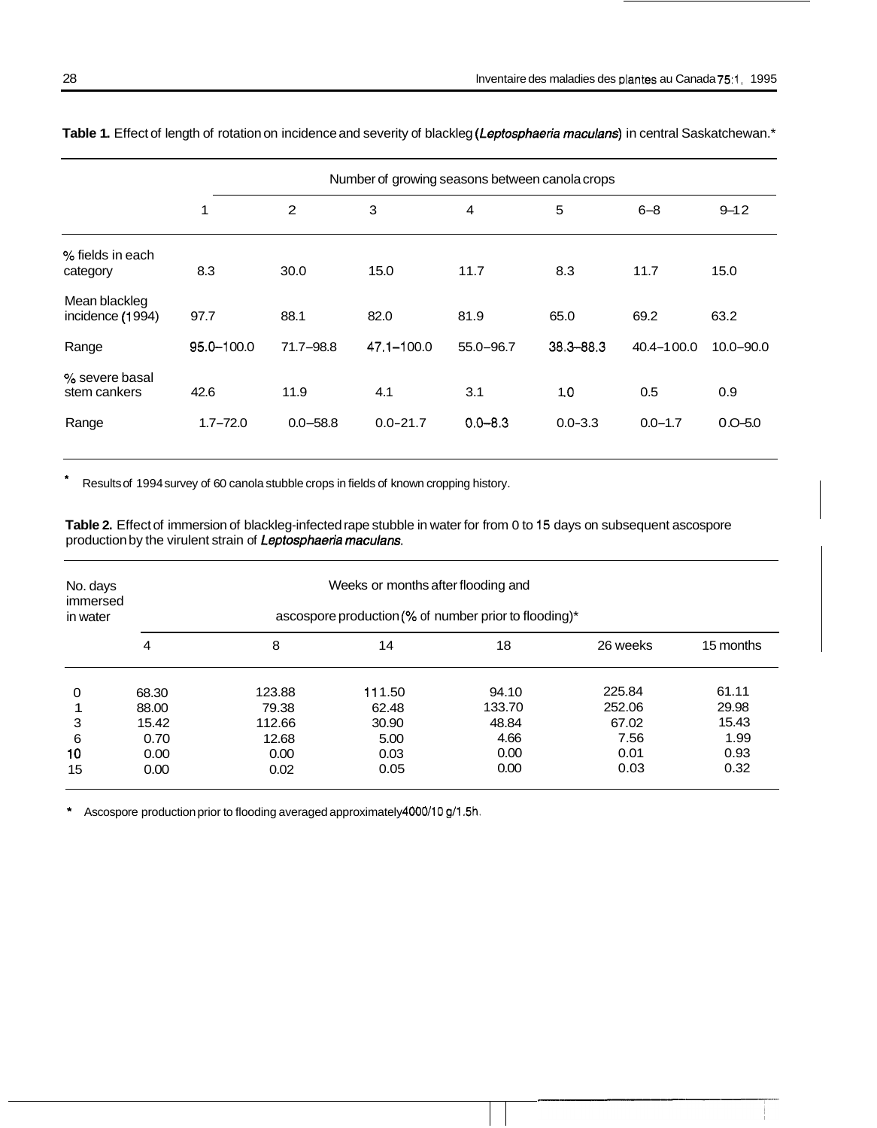|                                   |              | Number of growing seasons between canola crops |                |             |               |                |               |  |  |
|-----------------------------------|--------------|------------------------------------------------|----------------|-------------|---------------|----------------|---------------|--|--|
|                                   | 1            | 2                                              | 3              | 4           | 5             | $6 - 8$        | $9 - 12$      |  |  |
| % fields in each<br>category      | 8.3          | 30.0                                           | 15.0           | 11.7        | 8.3           | 11.7           | 15.0          |  |  |
| Mean blackleg<br>incidence (1994) | 97.7         | 88.1                                           | 82.0           | 81.9        | 65.0          | 69.2           | 63.2          |  |  |
| Range                             | 95.0-100.0   | $71.7 - 98.8$                                  | $47.1 - 100.0$ | 55.0-96.7   | $38.3 - 88.3$ | $40.4 - 100.0$ | $10.0 - 90.0$ |  |  |
| % severe basal<br>stem cankers    | 42.6         | 11.9                                           | 4.1            | 3.1         | 1.0           | 0.5            | 0.9           |  |  |
| Range                             | $1.7 - 72.0$ | $0.0 - 58.8$                                   | $0.0 - 21.7$   | $0.0 - 8.3$ | $0.0 - 3.3$   | $0.0 - 1.7$    | $0.0 - 5.0$   |  |  |

**Table 1.** Effect of length of rotation on incidence and severity of blackleg *(Leptosphaeria maculans)* in central Saskatchewan.\*

Results of 1994 survey of 60 canola stubble crops in fields of known cropping history.

**Table 2.** Effect of immersion of blackleg-infected rape stubble in water for from 0 to 15 days on subsequent ascospore production by the virulent strain of *Leptosphaeria maculans.* 

| No. days<br>immersed<br>in water |       | Weeks or months after flooding and<br>ascospore production (% of number prior to flooding)* |        |        |          |           |  |  |  |  |
|----------------------------------|-------|---------------------------------------------------------------------------------------------|--------|--------|----------|-----------|--|--|--|--|
|                                  | 4     | 8                                                                                           | 14     | 18     | 26 weeks | 15 months |  |  |  |  |
| 0                                | 68.30 | 123.88                                                                                      | 111.50 | 94.10  | 225.84   | 61.11     |  |  |  |  |
|                                  | 88.00 | 79.38                                                                                       | 62.48  | 133.70 | 252.06   | 29.98     |  |  |  |  |
| 3                                | 15.42 | 112.66                                                                                      | 30.90  | 48.84  | 67.02    | 15.43     |  |  |  |  |
| 6                                | 0.70  | 12.68                                                                                       | 5.00   | 4.66   | 7.56     | 1.99      |  |  |  |  |
| 10                               | 0.00  | 0.00                                                                                        | 0.03   | 0.00   | 0.01     | 0.93      |  |  |  |  |
| 15                               | 0.00  | 0.02                                                                                        | 0.05   | 0.00   | 0.03     | 0.32      |  |  |  |  |

Ascospore production prior to flooding averaged approximately  $4000/10$  g/1.5h.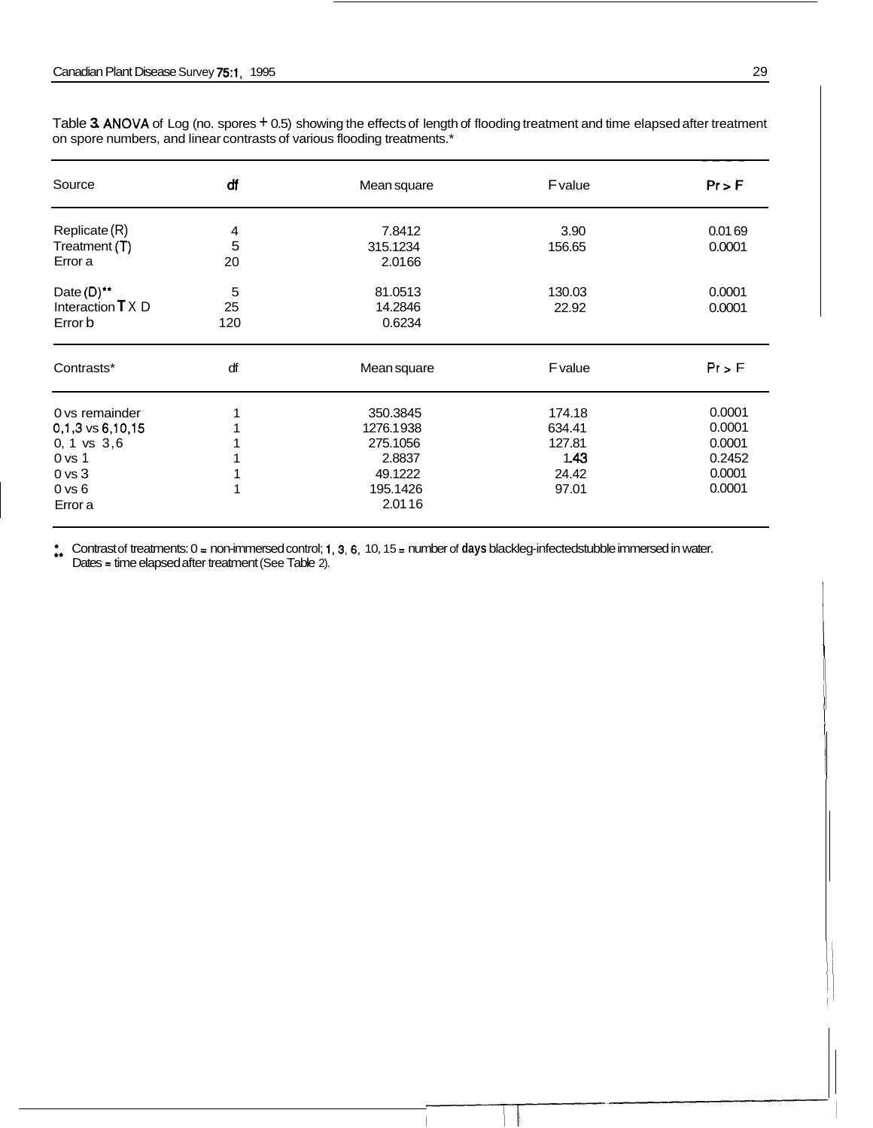| Source                                     | ďf  | Mean square | Fvalue  | $Pr$ > F |  |
|--------------------------------------------|-----|-------------|---------|----------|--|
| Replicate (R)                              | 4   | 7.8412      | 3.90    | 0.0169   |  |
| Treatment (T)                              | 5   | 315.1234    | 156.65  | 0.0001   |  |
| Error a                                    | 20  | 2.0166      |         |          |  |
| Date $(D)$ **                              | 5   | 81.0513     | 130.03  | 0.0001   |  |
| Interaction $\mathbf{T} \times \mathbf{D}$ | 25  | 14.2846     | 22.92   | 0.0001   |  |
| Error b                                    | 120 | 0.6234      |         |          |  |
| Contrasts*                                 | ďf  | Mean square | F value | $Pr$ > F |  |
| 0 vs remainder                             |     | 350.3845    | 174.18  | 0.0001   |  |
| $0,1,3$ vs $6,10,15$                       |     | 1276.1938   | 634.41  | 0.0001   |  |
| $0, 1$ vs $3,6$                            |     | 275.1056    | 127.81  | 0.0001   |  |
| 0 <sub>vs</sub> 1                          |     | 2.8837      | 1.43    | 0.2452   |  |
| 0 <sub>vs</sub> 3                          |     | 49.1222     | 24.42   | 0.0001   |  |
| $0$ vs $6$                                 |     | 195.1426    | 97.01   | 0.0001   |  |
| Error a                                    |     | 2.0116      |         |          |  |

Table **3. ANOVA** of Log (no. spores + 0.5) showing the effects of length of flooding treatment and time elapsed after treatment on spore numbers, and linear contrasts of various flooding treatments.\*

\*\* Contrast of treatments: 0 = non-immersed control; **1,3,6,** 10, 15 = number of **days** blackleg-infected stubble immersed in water. Dates = time elapsed after treatment (See Table 2).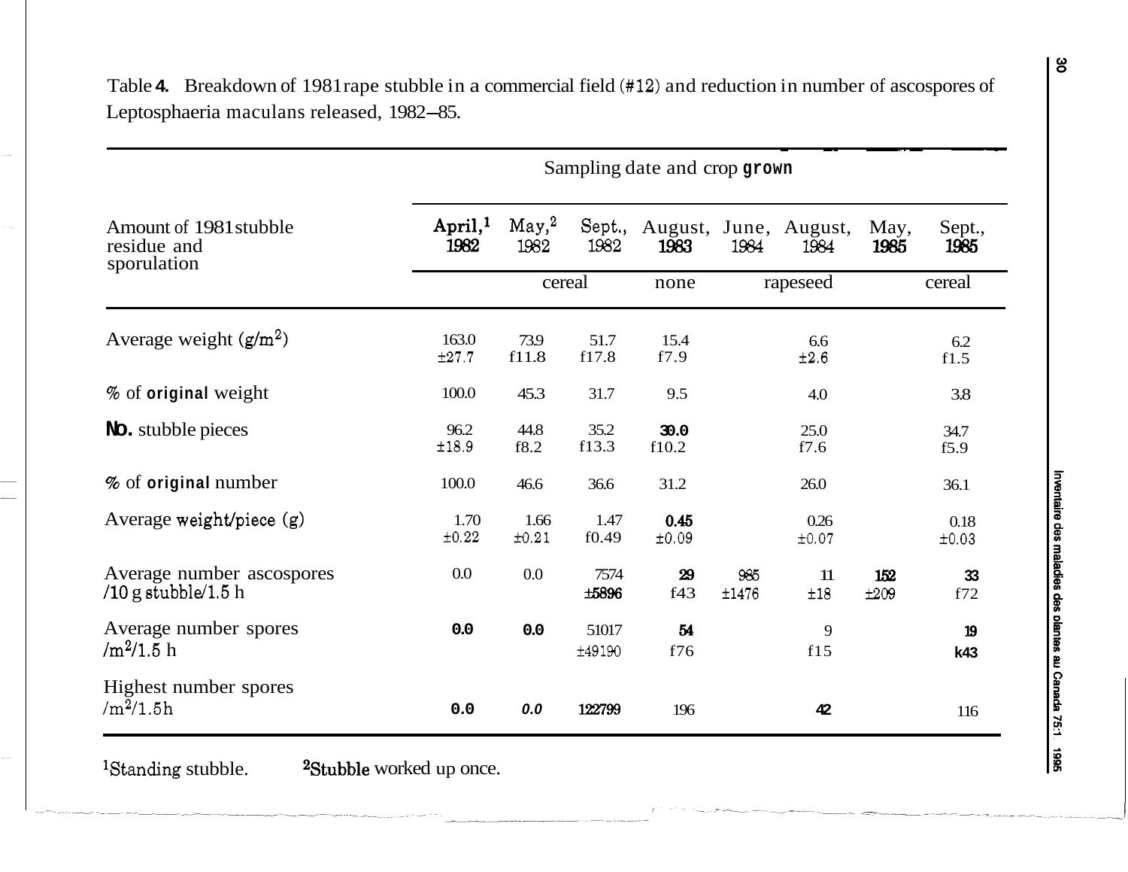| Sampling date and crop grown                         |                    |                          |                 |                 |                    |                       |              |                |
|------------------------------------------------------|--------------------|--------------------------|-----------------|-----------------|--------------------|-----------------------|--------------|----------------|
| Amount of 1981 stubble<br>residue and<br>sporulation | April, $1$<br>1982 | May <sub>2</sub><br>1982 | Sept.,<br>1982  | August,<br>1983 | 1984               | June, August,<br>1984 | May,<br>1985 | Sept.,<br>1985 |
|                                                      |                    | cereal                   |                 | none            | rapeseed<br>cereal |                       |              |                |
| Average weight $(g/m^2)$                             | 163.0<br>±27.7     | 73.9<br>f11.8            | 51.7<br>f17.8   | 15.4<br>f7.9    |                    | 6.6<br>±2.6           |              | 6.2<br>f1.5    |
| % of <b>original</b> weight                          | 100.0              | 45.3                     | 31.7            | 9.5             |                    | 4.0                   |              | 3.8            |
| No. stubble pieces                                   | 96.2<br>±18.9      | 44.8<br>f8.2             | 35.2<br>f13.3   | 30.0<br>f10.2   |                    | 25.0<br>f7.6          |              | 34.7<br>f5.9   |
| % of original number                                 | 100.0              | 46.6                     | 36.6            | 31.2            |                    | 26.0                  |              | 36.1           |
| Average weight/piece (g)                             | 1.70<br>±0.22      | 1.66<br>±0.21            | 1.47<br>f0.49   | 0.45<br>±0.09   |                    | 0.26<br>±0.07         |              | 0.18<br>±0.03  |
| Average number ascospores<br>$/10$ g stubble/1.5 h   | 0.0                | $0.0\,$                  | 7574<br>±5896   | 29<br>f43       | 985<br>±1476       | 11<br>±18             | 152<br>±209  | 33<br>f72      |
| Average number spores<br>$/m^2/1.5$ h                | 0.0                | 0.0                      | 51017<br>±49190 | 54<br>f76       |                    | 9<br>f15              |              | 19<br>k43      |
| Highest number spores<br>$/m^2/1.5h$                 | 0.0                | 0.0                      | 122799          | 196             |                    | 42                    |              | 116            |

Table **4.** Breakdown of 1981 rape stubble in a commercial field (#12) and reduction in number of ascospores of Leptosphaeria maculans released, 1982-85. - ~~ ~~ ~-

 $1$ Standing stubble.  $2$ Stubble worked up once.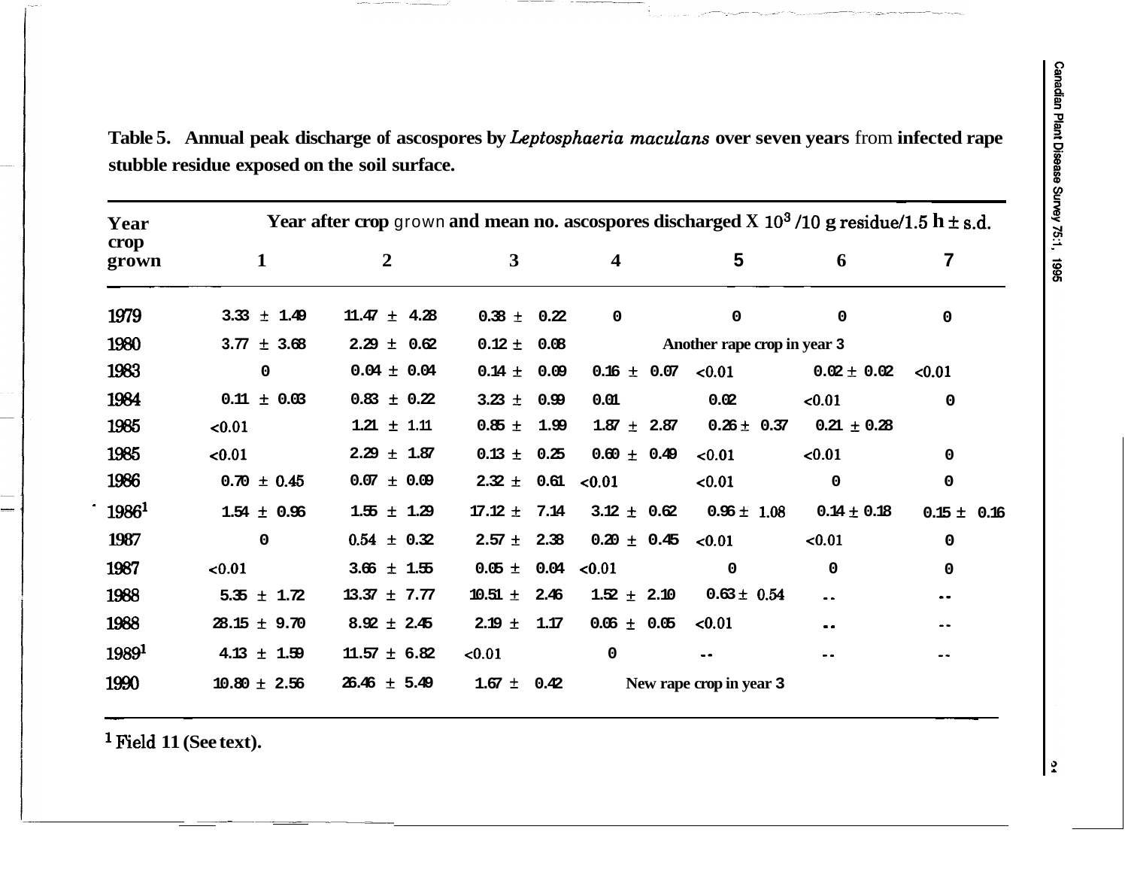| Year              | Year after crop grown and mean no. ascospores discharged X $10^3/10$ g residue/1.5 h $\pm$ s.d. |                  |                     |                    |                             |                 |                     |  |  |
|-------------------|-------------------------------------------------------------------------------------------------|------------------|---------------------|--------------------|-----------------------------|-----------------|---------------------|--|--|
| crop<br>grown     | 1                                                                                               | $\overline{2}$   | $\mathbf{3}$        | 4                  | 5                           | 6               | 7                   |  |  |
| 1979              | $3.33 \pm 1.49$                                                                                 | $11.47 \pm 4.28$ | $0.38 \pm$<br>0.22  | $\mathbf 0$        | $\pmb{0}$                   | 0               | $\mathbf 0$         |  |  |
| 1980              | 3.77 $\pm$ 3.68                                                                                 | $2.29 \pm 0.62$  | $0.12 \pm$<br>0.08  |                    | Another rape crop in year 3 |                 |                     |  |  |
| 1983              | 0                                                                                               | $0.04 \pm 0.04$  | $0.14 \pm$<br>0.09  | $0.16 \pm 0.07$    | < 0.01                      | $0.02 \pm 0.02$ | < 0.01              |  |  |
| 1984              | $0.11 \pm 0.03$                                                                                 | $0.83 \pm 0.22$  | $3.23 \pm$<br>0.99  | 0.01               | 0.02                        | 0.01            | $\mathbf 0$         |  |  |
| 1985              | < 0.01                                                                                          | $1.21 \pm 1.11$  | $0.85 \pm$<br>1.99  | 1.87 $\pm$<br>2.87 | $0.26 \pm 0.37$             | $0.21 \pm 0.28$ |                     |  |  |
| 1985              | < 0.01                                                                                          | $2.29 \pm 1.87$  | $0.13 \pm$<br>0.25  | $0.60 \pm 0.49$    | < 0.01                      | 0.01            | 0                   |  |  |
| 1986              | $0.70 \pm 0.45$                                                                                 | $0.07 \pm 0.09$  | 0.61<br>$2.32 \pm$  | < 0.01             | 0.01                        | $\mathbf 0$     | 0                   |  |  |
| 1986 <sup>1</sup> | $1.54 \pm 0.96$                                                                                 | $1.55 \pm 1.29$  | $17.12 \pm$<br>7.14 | $3.12 \pm 0.62$    | $0.96 \pm 1.08$             | $0.14 \pm 0.18$ | $0.15 \pm$<br>0.16  |  |  |
| 1987              | $\mathbf 0$                                                                                     | $0.54 \pm 0.32$  | 2.38<br>$2.57 \pm$  | $0.20 \pm 0.45$    | < 0.01                      | < 0.01          | $\mathbf 0$         |  |  |
| 1987              | 0.01                                                                                            | $3.66 \pm 1.55$  | $0.05 \pm$          | 0.04 < 0.01        | 0                           | 0               | 0                   |  |  |
| 1988              | $5.35 \pm 1.72$                                                                                 | $13.37 \pm 7.77$ | $10.51 \pm$<br>2.46 | $1.52 \pm 2.10$    | $0.63 \pm 0.54$             | $ -$            | $\bullet$ $\bullet$ |  |  |
| 1988              | $28.15 \pm 9.70$                                                                                | $8.92 \pm 2.45$  | $2.19 \pm$<br>1.17  | $0.06 \pm 0.05$    | < 0.01                      | - -             |                     |  |  |
| 1989 <sup>1</sup> | $4.13 \pm 1.59$                                                                                 | $11.57 \pm 6.82$ | < 0.01              | $\mathbf 0$        |                             | --              |                     |  |  |
| 1990              | $10.80 \pm 2.56$                                                                                | $26.46 \pm 5.49$ | $1.67 \pm 0.42$     |                    | New rape crop in year 3     |                 |                     |  |  |

**Table 5. Annual peak discharge of ascospores by** *Leptosphaeria maculans* **over seven years** from **infected rape stubble residue exposed on the soil surface.** 

**Field 11 (See text).** 

يا $\mathbf{r}$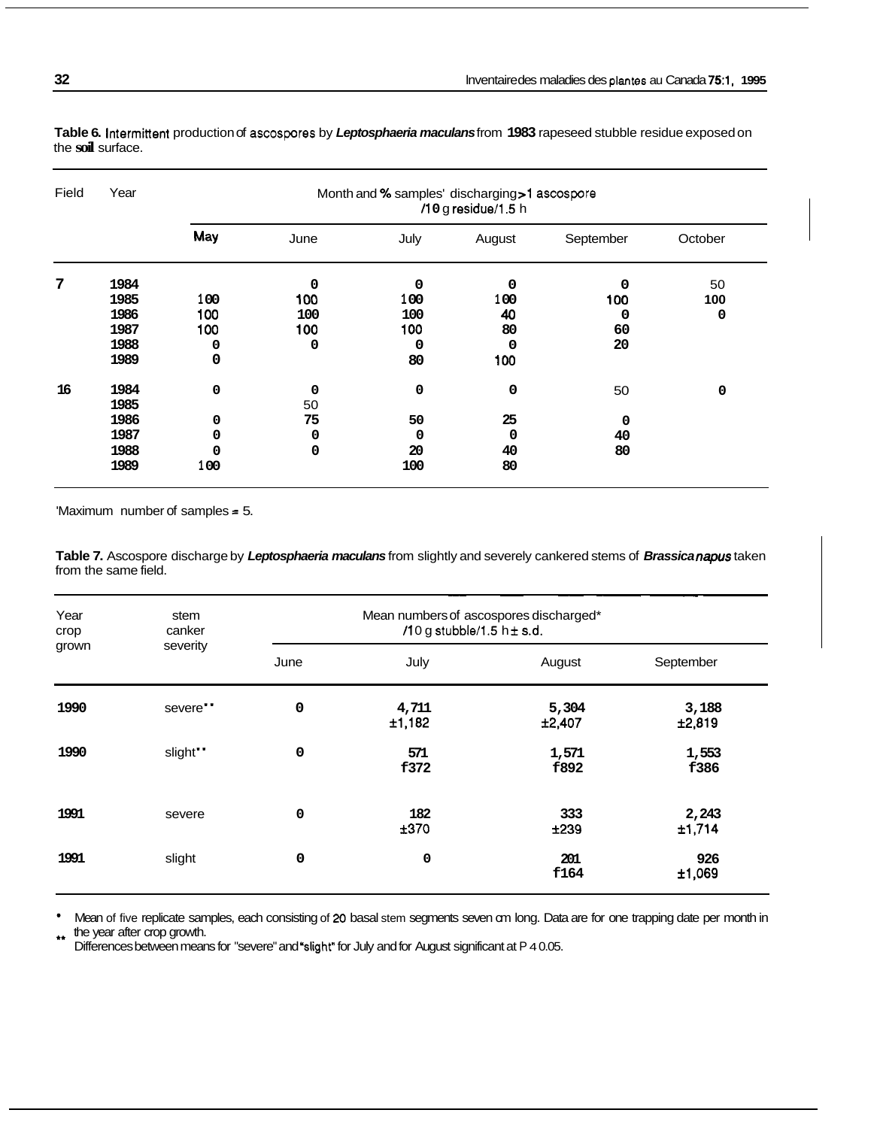| Field | Year | Month and % samples' discharging >1 ascospore<br>/10 g residue/1.5 h |             |      |        |           |         |  |  |
|-------|------|----------------------------------------------------------------------|-------------|------|--------|-----------|---------|--|--|
|       |      | May                                                                  | June        | July | August | September | October |  |  |
| 7     | 1984 |                                                                      | 0           | 0    | 0      | 0         | 50      |  |  |
|       | 1985 | 100                                                                  | 100         | 100  | 100    | 100       | 100     |  |  |
|       | 1986 | 100                                                                  | 100         | 100  | 40     | 0         | 0       |  |  |
|       | 1987 | 100                                                                  | 100         | 100  | 80     | 60        |         |  |  |
|       | 1988 | 0                                                                    | 0           | 0    | 0      | 20        |         |  |  |
|       | 1989 | 0                                                                    |             | 80   | 100    |           |         |  |  |
| 16    | 1984 | 0                                                                    | $\mathbf 0$ | 0    | 0      | 50        | 0       |  |  |
|       | 1985 |                                                                      | 50          |      |        |           |         |  |  |
|       | 1986 | 0                                                                    | 75          | 50   | 25     | 0         |         |  |  |
|       | 1987 | 0                                                                    | 0           | 0    | 0      | 40        |         |  |  |
|       | 1988 | n                                                                    | 0           | 20   | 40     | 80        |         |  |  |
|       | 1989 | 100                                                                  |             | 100  | 80     |           |         |  |  |

**Table 6.** Intermittent production of ascospores by *Leptosphaeria maculans* from **1983** rapeseed stubble residue exposed on the **soil** surface.

'Maximum number of samples = 5.

**Table 7.** Ascospore discharge by *Leptosphaeria maculans* from slightly and severely cankered stems of *Brassica napus* taken from the same field.

| Year<br>crop<br>grown | stem<br>canker |      |                 |                 |                 |
|-----------------------|----------------|------|-----------------|-----------------|-----------------|
|                       | severity       | June | July            | August          | September       |
| 1990                  | severe"        | 0    | 4,711<br>±1,182 | 5,304<br>±2,407 | 3,188<br>±2,819 |
| 1990                  | slight"        | 0    | 571<br>£372     | 1,571<br>£892   | 1,553<br>£386   |
| 1991                  | severe         | 0    | 182<br>±370     | 333<br>±239     | 2,243<br>±1,714 |
| 1991                  | slight         | 0    | 0               | 201<br>£164     | 926<br>±1,069   |

Mean of five replicate samples, each consisting of *20* basal stem segments seven cm long. Data are for one trapping date per month in the year after crop growth.

\*\* Differences between means for "severe" and "slight" for July and for August significant at P 4 0.05.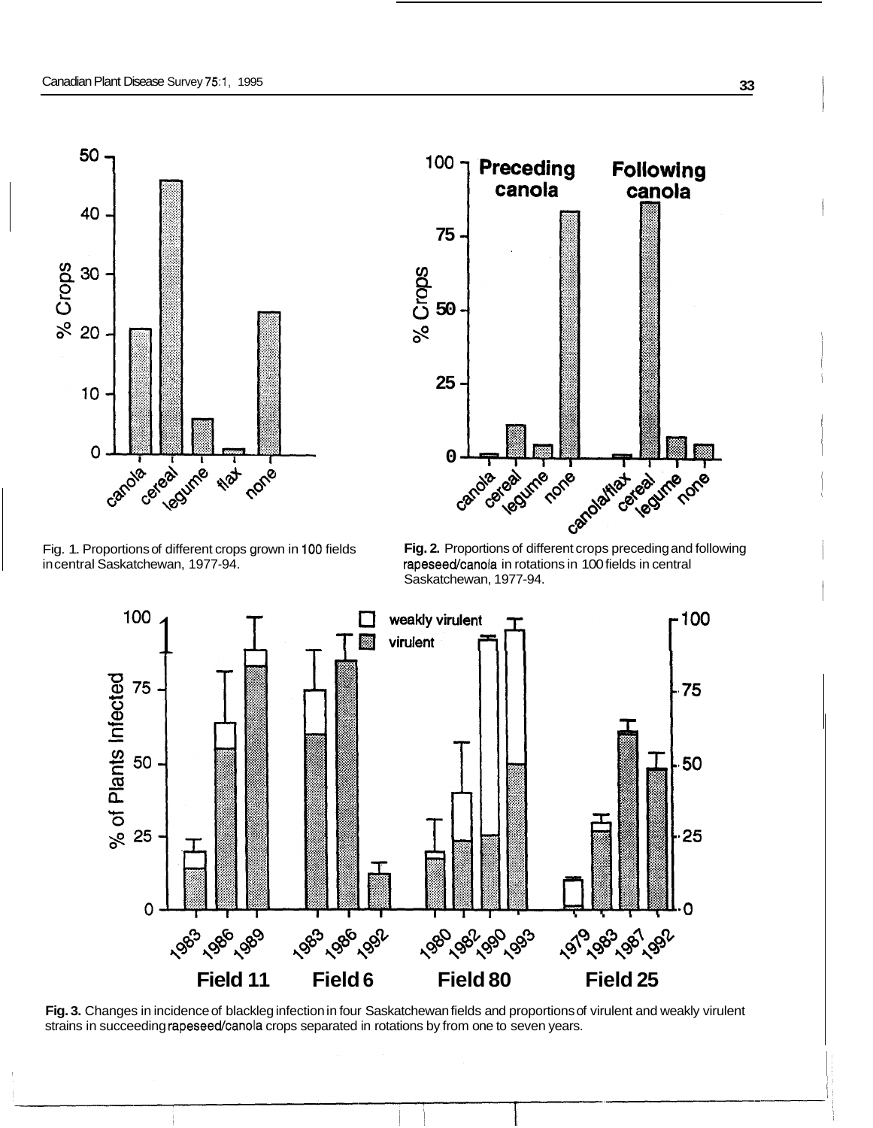

in central Saskatchewan, 1977-94.



Fig. 1. Proportions of different crops grown in 100 fields **Fig. 2.** Proportions of different crops preceding and following incentral Saskatchewan, 1977-94. Saskatchewan, 1977-94.



**Fig. 3.** Changes in incidence of blackleg infection in four Saskatchewan fields and proportions of virulent and weakly virulent strains in succeeding rapeseed/canola crops separated in rotations by from one to seven years.